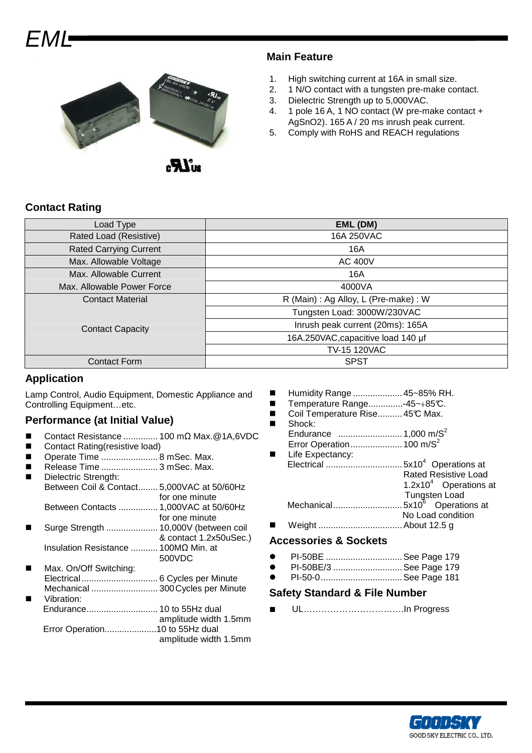# – N // /=



.av.

# **Main Feature**

- 1. High switching current at 16A in small size.
- 2. 1 N/O contact with a tungsten pre-make contact.
- 3. Dielectric Strength up to 5,000VAC.
- 4. 1 pole 16 A, 1 NO contact (W pre-make contact + AgSnO2). 165 A / 20 ms inrush peak current.
- 5. Comply with RoHS and REACH regulations

# **Contact Rating**

| Load Type                     | EML (DM)                              |  |  |
|-------------------------------|---------------------------------------|--|--|
| Rated Load (Resistive)        | 16A 250VAC                            |  |  |
| <b>Rated Carrying Current</b> | 16A                                   |  |  |
| Max. Allowable Voltage        | <b>AC 400V</b>                        |  |  |
| Max. Allowable Current        | 16A                                   |  |  |
| Max. Allowable Power Force    | 4000VA                                |  |  |
| <b>Contact Material</b>       | R (Main) : Ag Alloy, L (Pre-make) : W |  |  |
| <b>Contact Capacity</b>       | Tungsten Load: 3000W/230VAC           |  |  |
|                               | Inrush peak current (20ms): 165A      |  |  |
|                               | 16A.250VAC, capacitive load 140 µf    |  |  |
|                               | <b>TV-15 120VAC</b>                   |  |  |
| <b>Contact Form</b>           | <b>SPST</b>                           |  |  |

# **Application**

Lamp Control, Audio Equipment, Domestic Appliance and Controlling Equipment…etc.

# **Performance (at Initial Value)**

- Contact Resistance .............. 100 mΩ Max.@1A,6VDC
- Contact Rating(resistive load)
- Operate Time ....................... 8 mSec. Max.
- Release Time ....................... 3 mSec. Max.
- Dielectric Strength: Between Coil & Contact........ 5,000VAC at 50/60Hz for one minute Between Contacts ................ 1,000VAC at 50/60Hz for one minute
- Surge Strength ..................... 10,000V (between coil & contact 1.2x50uSec.) Insulation Resistance ........... 100MΩ Min. at
- 500VDC Max. On/Off Switching: Electrical............................... 6 Cycles per Minute Mechanical ........................... 300 Cycles per Minute Vibration: Endurance............................. 10 to 55Hz dual
- amplitude width 1.5mm Error Operation.....................10 to 55Hz dual amplitude width 1.5mm
- Humidity Range ....................45~85% RH.
- Temperature Range..............-45~+85°C.
- Coil Temperature Rise..........45℃ Max.
- Shock: Endurance ..........................1,000 m/S<sup>2</sup>
- Error Operation.....................100 m/S<sup>2</sup> Life Expectancy:
- Electrical ...............................5x10<sup>4</sup>Operations at Rated Resistive Load 1.2 $\times$ 10<sup>4</sup> Operations at Tungsten Load Mechanical...............................5x10<sup>6</sup> Operations at No Load condition
- Weight ..................................About 12.5 g

### **Accessories & Sockets**

- **•** PI-50BE .................................. See Page 179
- PI-50BE/3 ............................ See Page 179
- PI-50-0.................................See Page 181

#### **Safety Standard & File Number**

■ UL…………………………….In Progress